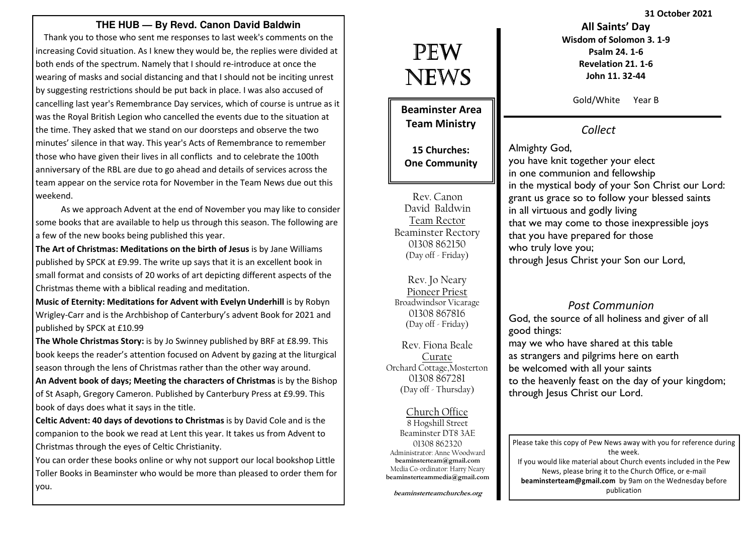### **THE HUB — By Revd. Canon David Baldwin**

 Thank you to those who sent me responses to last week's comments on the increasing Covid situation. As I knew they would be, the replies were divided at both ends of the spectrum. Namely that I should re-introduce at once the wearing of masks and social distancing and that I should not be inciting unrest by suggesting restrictions should be put back in place. I was also accused of cancelling last year's Remembrance Day services, which of course is untrue as it was the Royal British Legion who cancelled the events due to the situation at the time. They asked that we stand on our doorsteps and observe the two minutes' silence in that way. This year's Acts of Remembrance to remember those who have given their lives in all conflicts and to celebrate the 100th anniversary of the RBL are due to go ahead and details of services across the team appear on the service rota for November in the Team News due out this weekend.

 As we approach Advent at the end of November you may like to consider some books that are available to help us through this season. The following are a few of the new books being published this year.

The Art of Christmas: Meditations on the birth of Jesus is by Jane Williams published by SPCK at £9.99. The write up says that it is an excellent book in small format and consists of 20 works of art depicting different aspects of the Christmas theme with a biblical reading and meditation.

Music of Eternity: Meditations for Advent with Evelyn Underhill is by Robyn Wrigley-Carr and is the Archbishop of Canterbury's advent Book for 2021 and published by SPCK at £10.99

The Whole Christmas Story: is by Jo Swinney published by BRF at £8.99. This book keeps the reader's attention focused on Advent by gazing at the liturgical season through the lens of Christmas rather than the other way around.

An Advent book of days; Meeting the characters of Christmas is by the Bishop of St Asaph, Gregory Cameron. Published by Canterbury Press at £9.99. This book of days does what it says in the title.

Celtic Advent: 40 days of devotions to Christmas is by David Cole and is the companion to the book we read at Lent this year. It takes us from Advent to Christmas through the eyes of Celtic Christianity.

You can order these books online or why not support our local bookshop Little Toller Books in Beaminster who would be more than pleased to order them for you.

# PEW NEWS

Beaminster Area Team Ministry

15 Churches: One Community

Rev. Canon David Baldwin Team Rector Beaminster Rectory 01308 862150 (Day off - Friday)

Rev. Jo Neary Pioneer Priest Broadwindsor Vicarage 01308 867816 (Day off - Friday)

Rev. Fiona Beale Curate Orchard Cottage,Mosterton 01308 867281(Day off - Thursday)

Church Office 8 Hogshill Street Beaminster DT8 3AE 01308 862320 Administrator: Anne Woodward beaminsterteam@gmail.com Media Co-ordinator: Harry Nearybeaminsterteammedia@gmail.com

All Saints' Day Wisdom of Solomon 3. 1-9 Psalm 24. 1-6 Revelation 21. 1-6 John 11. 32-44

Gold/White Year B

Collect

Almighty God, you have knit together your elect in one communion and fellowship in the mystical body of your Son Christ our Lord: grant us grace so to follow your blessed saints in all virtuous and godly living that we may come to those inexpressible joys that you have prepared for those who truly love you; through Jesus Christ your Son our Lord,

### Post Communion

 God, the source of all holiness and giver of all good things:

 may we who have shared at this table as strangers and pilgrims here on earth be welcomed with all your saints to the heavenly feast on the day of your kingdom; through Jesus Christ our Lord.

Please take this copy of Pew News away with you for reference during the week. If you would like material about Church events included in the Pew News, please bring it to the Church Office, or e-mail beaminsterteam@gmail.com by 9am on the Wednesday before publication

31 October 2021

beaminsterteamchurches.org